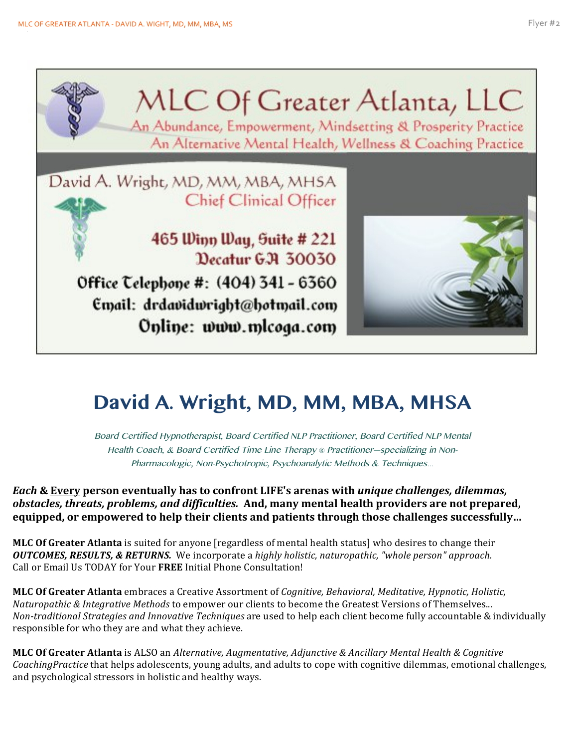

## **David A. Wright, MD, MM, MBA, MHSA**

Board Certified Hypnotherapist, Board Certified NLP Practitioner, Board Certified NLP Mental Health Coach, & Board Certified Time Line Therapy *®* Practitioner—specializing in Non-Pharmacologic, Non-Psychotropic, Psychoanalytic Methods & Techniques*…*

*Each* **& Every person eventually has to confront LIFE's arenas with unique challenges, dilemmas,** *obstacles, threats, problems, and difficulties.* And, many mental health providers are not prepared, equipped, or empowered to help their clients and patients through those challenges successfully...

**MLC Of Greater Atlanta** is suited for anyone [regardless of mental health status] who desires to change their *OUTCOMES, RESULTS, & RETURNS.* We incorporate a highly holistic, naturopathic, "whole person" approach. Call or Email Us TODAY for Your FREE Initial Phone Consultation!

**MLC Of Greater Atlanta** embraces a Creative Assortment of *Cognitive, Behavioral, Meditative, Hypnotic, Holistic, Naturopathic & Integrative Methods* to empower our clients to become the Greatest Versions of Themselves... *Non-traditional Strategies and Innovative Techniques* are used to help each client become fully accountable & individually responsible for who they are and what they achieve.

**MLC Of Greater Atlanta** is ALSO an *Alternative, Augmentative, Adjunctive & Ancillary Mental Health & Cognitive CoachingPractice* that helps adolescents, young adults, and adults to cope with cognitive dilemmas, emotional challenges, and psychological stressors in holistic and healthy ways.